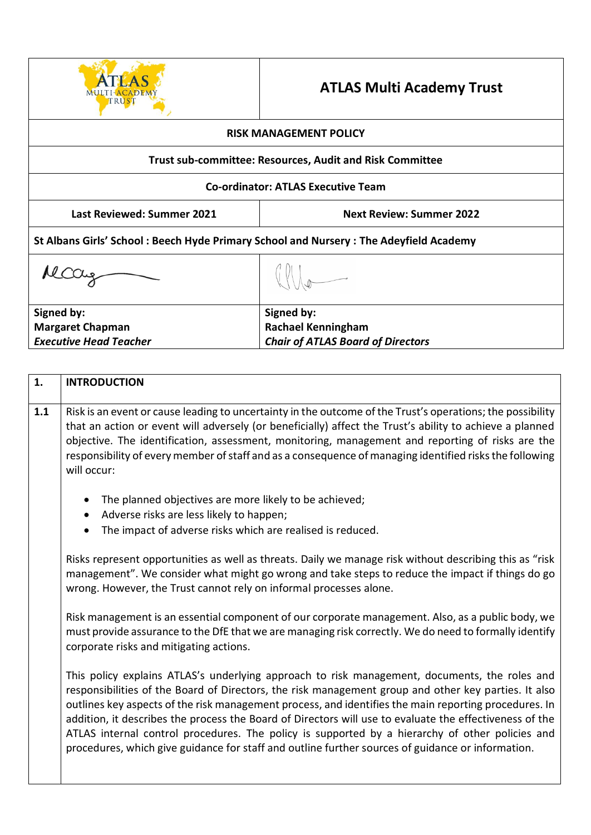

## **ATLAS Multi Academy Trust**

| <b>RISK MANAGEMENT POLICY</b>                                                         |                                          |  |  |
|---------------------------------------------------------------------------------------|------------------------------------------|--|--|
| <b>Trust sub-committee: Resources, Audit and Risk Committee</b>                       |                                          |  |  |
| <b>Co-ordinator: ATLAS Executive Team</b>                                             |                                          |  |  |
| <b>Last Reviewed: Summer 2021</b><br><b>Next Review: Summer 2022</b>                  |                                          |  |  |
| St Albans Girls' School: Beech Hyde Primary School and Nursery: The Adeyfield Academy |                                          |  |  |
|                                                                                       |                                          |  |  |
| Signed by:                                                                            | Signed by:                               |  |  |
| <b>Margaret Chapman</b>                                                               | <b>Rachael Kenningham</b>                |  |  |
| <b>Executive Head Teacher</b>                                                         | <b>Chair of ATLAS Board of Directors</b> |  |  |

| 1.  | <b>INTRODUCTION</b>                                                                                                                                                                                                                                                                                                                                                                                                                                                                                                                                                                                                               |  |  |  |
|-----|-----------------------------------------------------------------------------------------------------------------------------------------------------------------------------------------------------------------------------------------------------------------------------------------------------------------------------------------------------------------------------------------------------------------------------------------------------------------------------------------------------------------------------------------------------------------------------------------------------------------------------------|--|--|--|
| 1.1 | Risk is an event or cause leading to uncertainty in the outcome of the Trust's operations; the possibility<br>that an action or event will adversely (or beneficially) affect the Trust's ability to achieve a planned<br>objective. The identification, assessment, monitoring, management and reporting of risks are the<br>responsibility of every member of staff and as a consequence of managing identified risks the following<br>will occur:                                                                                                                                                                              |  |  |  |
|     | The planned objectives are more likely to be achieved;<br>Adverse risks are less likely to happen;<br>The impact of adverse risks which are realised is reduced.                                                                                                                                                                                                                                                                                                                                                                                                                                                                  |  |  |  |
|     | Risks represent opportunities as well as threats. Daily we manage risk without describing this as "risk<br>management". We consider what might go wrong and take steps to reduce the impact if things do go<br>wrong. However, the Trust cannot rely on informal processes alone.                                                                                                                                                                                                                                                                                                                                                 |  |  |  |
|     | Risk management is an essential component of our corporate management. Also, as a public body, we<br>must provide assurance to the DfE that we are managing risk correctly. We do need to formally identify<br>corporate risks and mitigating actions.                                                                                                                                                                                                                                                                                                                                                                            |  |  |  |
|     | This policy explains ATLAS's underlying approach to risk management, documents, the roles and<br>responsibilities of the Board of Directors, the risk management group and other key parties. It also<br>outlines key aspects of the risk management process, and identifies the main reporting procedures. In<br>addition, it describes the process the Board of Directors will use to evaluate the effectiveness of the<br>ATLAS internal control procedures. The policy is supported by a hierarchy of other policies and<br>procedures, which give guidance for staff and outline further sources of guidance or information. |  |  |  |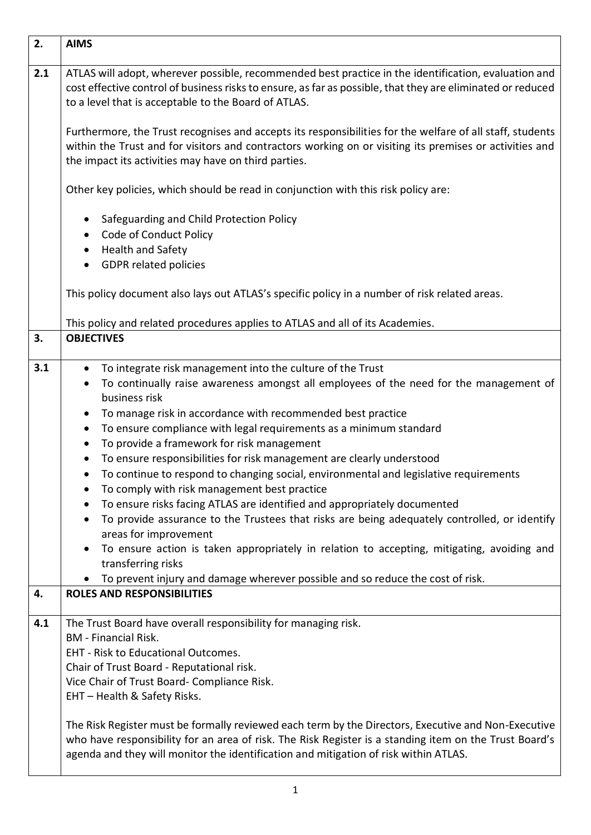| 2.  | <b>AIMS</b>                                                                                                                                                                                                                                                                                                                                                                                                                                                                                                                                                                                                                                                                                                                                                                                                                                      |
|-----|--------------------------------------------------------------------------------------------------------------------------------------------------------------------------------------------------------------------------------------------------------------------------------------------------------------------------------------------------------------------------------------------------------------------------------------------------------------------------------------------------------------------------------------------------------------------------------------------------------------------------------------------------------------------------------------------------------------------------------------------------------------------------------------------------------------------------------------------------|
| 2.1 | ATLAS will adopt, wherever possible, recommended best practice in the identification, evaluation and<br>cost effective control of business risks to ensure, as far as possible, that they are eliminated or reduced<br>to a level that is acceptable to the Board of ATLAS.                                                                                                                                                                                                                                                                                                                                                                                                                                                                                                                                                                      |
|     | Furthermore, the Trust recognises and accepts its responsibilities for the welfare of all staff, students<br>within the Trust and for visitors and contractors working on or visiting its premises or activities and<br>the impact its activities may have on third parties.                                                                                                                                                                                                                                                                                                                                                                                                                                                                                                                                                                     |
|     | Other key policies, which should be read in conjunction with this risk policy are:                                                                                                                                                                                                                                                                                                                                                                                                                                                                                                                                                                                                                                                                                                                                                               |
|     | Safeguarding and Child Protection Policy<br>Code of Conduct Policy<br>Health and Safety<br><b>GDPR related policies</b><br>$\bullet$                                                                                                                                                                                                                                                                                                                                                                                                                                                                                                                                                                                                                                                                                                             |
|     | This policy document also lays out ATLAS's specific policy in a number of risk related areas.                                                                                                                                                                                                                                                                                                                                                                                                                                                                                                                                                                                                                                                                                                                                                    |
|     | This policy and related procedures applies to ATLAS and all of its Academies.                                                                                                                                                                                                                                                                                                                                                                                                                                                                                                                                                                                                                                                                                                                                                                    |
| 3.  | <b>OBJECTIVES</b>                                                                                                                                                                                                                                                                                                                                                                                                                                                                                                                                                                                                                                                                                                                                                                                                                                |
| 3.1 | To integrate risk management into the culture of the Trust<br>$\bullet$<br>To continually raise awareness amongst all employees of the need for the management of<br>$\bullet$<br>business risk<br>To manage risk in accordance with recommended best practice<br>$\bullet$<br>To ensure compliance with legal requirements as a minimum standard<br>$\bullet$<br>To provide a framework for risk management<br>$\bullet$<br>To ensure responsibilities for risk management are clearly understood<br>To continue to respond to changing social, environmental and legislative requirements<br>To comply with risk management best practice<br>To ensure risks facing ATLAS are identified and appropriately documented<br>To provide assurance to the Trustees that risks are being adequately controlled, or identify<br>areas for improvement |
|     | To ensure action is taken appropriately in relation to accepting, mitigating, avoiding and<br>transferring risks                                                                                                                                                                                                                                                                                                                                                                                                                                                                                                                                                                                                                                                                                                                                 |
| 4.  | To prevent injury and damage wherever possible and so reduce the cost of risk.<br><b>ROLES AND RESPONSIBILITIES</b>                                                                                                                                                                                                                                                                                                                                                                                                                                                                                                                                                                                                                                                                                                                              |
| 4.1 | The Trust Board have overall responsibility for managing risk.<br><b>BM</b> - Financial Risk.<br><b>EHT - Risk to Educational Outcomes.</b><br>Chair of Trust Board - Reputational risk.<br>Vice Chair of Trust Board-Compliance Risk.<br>EHT - Health & Safety Risks.<br>The Risk Register must be formally reviewed each term by the Directors, Executive and Non-Executive<br>who have responsibility for an area of risk. The Risk Register is a standing item on the Trust Board's<br>agenda and they will monitor the identification and mitigation of risk within ATLAS.                                                                                                                                                                                                                                                                  |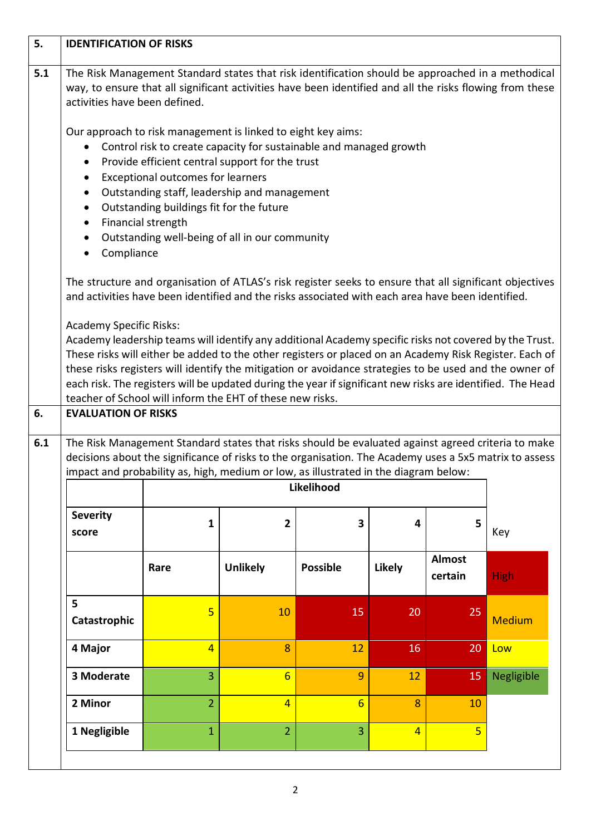| 5.  | <b>IDENTIFICATION OF RISKS</b>                                                                     |                                                                                                                                                                                                                                                                                                                                                                                                                                                                                                                                                                                                                                                                                                                                                                                       |                 |                         |                |                          |               |
|-----|----------------------------------------------------------------------------------------------------|---------------------------------------------------------------------------------------------------------------------------------------------------------------------------------------------------------------------------------------------------------------------------------------------------------------------------------------------------------------------------------------------------------------------------------------------------------------------------------------------------------------------------------------------------------------------------------------------------------------------------------------------------------------------------------------------------------------------------------------------------------------------------------------|-----------------|-------------------------|----------------|--------------------------|---------------|
| 5.1 | $\bullet$<br>$\bullet$<br>$\bullet$<br>$\bullet$<br>$\bullet$                                      | The Risk Management Standard states that risk identification should be approached in a methodical<br>way, to ensure that all significant activities have been identified and all the risks flowing from these<br>activities have been defined.<br>Our approach to risk management is linked to eight key aims:<br>Control risk to create capacity for sustainable and managed growth<br>Provide efficient central support for the trust<br><b>Exceptional outcomes for learners</b><br>Outstanding staff, leadership and management<br>Outstanding buildings fit for the future<br>Financial strength<br>Outstanding well-being of all in our community                                                                                                                               |                 |                         |                |                          |               |
|     | Compliance<br>$\bullet$                                                                            |                                                                                                                                                                                                                                                                                                                                                                                                                                                                                                                                                                                                                                                                                                                                                                                       |                 |                         |                |                          |               |
| 6.  |                                                                                                    | The structure and organisation of ATLAS's risk register seeks to ensure that all significant objectives<br>and activities have been identified and the risks associated with each area have been identified.<br><b>Academy Specific Risks:</b><br>Academy leadership teams will identify any additional Academy specific risks not covered by the Trust.<br>These risks will either be added to the other registers or placed on an Academy Risk Register. Each of<br>these risks registers will identify the mitigation or avoidance strategies to be used and the owner of<br>each risk. The registers will be updated during the year if significant new risks are identified. The Head<br>teacher of School will inform the EHT of these new risks.<br><b>EVALUATION OF RISKS</b> |                 |                         |                |                          |               |
| 6.1 | The Risk Management Standard states that risks should be evaluated against agreed criteria to make |                                                                                                                                                                                                                                                                                                                                                                                                                                                                                                                                                                                                                                                                                                                                                                                       |                 |                         |                |                          |               |
|     |                                                                                                    | decisions about the significance of risks to the organisation. The Academy uses a 5x5 matrix to assess<br>impact and probability as, high, medium or low, as illustrated in the diagram below:                                                                                                                                                                                                                                                                                                                                                                                                                                                                                                                                                                                        |                 |                         |                |                          |               |
|     |                                                                                                    | Likelihood                                                                                                                                                                                                                                                                                                                                                                                                                                                                                                                                                                                                                                                                                                                                                                            |                 |                         |                |                          |               |
|     | <b>Severity</b><br>score                                                                           | $\mathbf{1}$                                                                                                                                                                                                                                                                                                                                                                                                                                                                                                                                                                                                                                                                                                                                                                          | 2               | $\overline{\mathbf{3}}$ | 4              | 5                        | Key           |
|     |                                                                                                    | Rare                                                                                                                                                                                                                                                                                                                                                                                                                                                                                                                                                                                                                                                                                                                                                                                  | <b>Unlikely</b> | <b>Possible</b>         | <b>Likely</b>  | <b>Almost</b><br>certain | <b>High</b>   |
|     | 5<br>Catastrophic                                                                                  | 5                                                                                                                                                                                                                                                                                                                                                                                                                                                                                                                                                                                                                                                                                                                                                                                     | 10              | 15                      | 20             | 25                       | <b>Medium</b> |
|     | 4 Major                                                                                            | $\overline{4}$                                                                                                                                                                                                                                                                                                                                                                                                                                                                                                                                                                                                                                                                                                                                                                        | 8               | 12                      | 16             | 20                       | Low           |
|     | 3 Moderate                                                                                         | 3                                                                                                                                                                                                                                                                                                                                                                                                                                                                                                                                                                                                                                                                                                                                                                                     | $6\overline{6}$ | 9                       | 12             | 15                       | Negligible    |
|     | 2 Minor                                                                                            | $\overline{2}$                                                                                                                                                                                                                                                                                                                                                                                                                                                                                                                                                                                                                                                                                                                                                                        | $\overline{4}$  | $6\overline{6}$         | 8              | 10                       |               |
|     | 1 Negligible                                                                                       | $\mathbf{1}$                                                                                                                                                                                                                                                                                                                                                                                                                                                                                                                                                                                                                                                                                                                                                                          | $\overline{2}$  | $\overline{3}$          | $\overline{4}$ | $\overline{5}$           |               |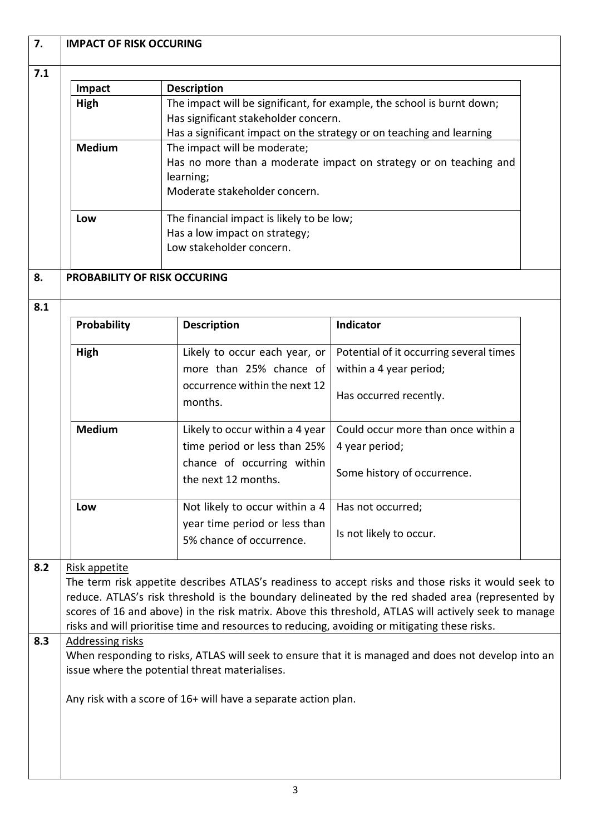| 7.1 |                                                                                                                                                                                                                                                                                                                                                                                                                                   |                                                                                                                                                                                        |                                                                                                     |  |  |
|-----|-----------------------------------------------------------------------------------------------------------------------------------------------------------------------------------------------------------------------------------------------------------------------------------------------------------------------------------------------------------------------------------------------------------------------------------|----------------------------------------------------------------------------------------------------------------------------------------------------------------------------------------|-----------------------------------------------------------------------------------------------------|--|--|
|     | Impact                                                                                                                                                                                                                                                                                                                                                                                                                            | <b>Description</b>                                                                                                                                                                     |                                                                                                     |  |  |
|     | High                                                                                                                                                                                                                                                                                                                                                                                                                              | The impact will be significant, for example, the school is burnt down;<br>Has significant stakeholder concern.<br>Has a significant impact on the strategy or on teaching and learning |                                                                                                     |  |  |
|     | <b>Medium</b>                                                                                                                                                                                                                                                                                                                                                                                                                     | The impact will be moderate;<br>Has no more than a moderate impact on strategy or on teaching and<br>learning;<br>Moderate stakeholder concern.                                        |                                                                                                     |  |  |
|     | Low                                                                                                                                                                                                                                                                                                                                                                                                                               | The financial impact is likely to be low;<br>Has a low impact on strategy;<br>Low stakeholder concern.                                                                                 |                                                                                                     |  |  |
| 8.  | PROBABILITY OF RISK OCCURING                                                                                                                                                                                                                                                                                                                                                                                                      |                                                                                                                                                                                        |                                                                                                     |  |  |
| 8.1 | <b>Probability</b>                                                                                                                                                                                                                                                                                                                                                                                                                | <b>Description</b>                                                                                                                                                                     | Indicator                                                                                           |  |  |
|     | High                                                                                                                                                                                                                                                                                                                                                                                                                              | Likely to occur each year, or<br>more than 25% chance of<br>occurrence within the next 12                                                                                              | Potential of it occurring several times<br>within a 4 year period;                                  |  |  |
|     |                                                                                                                                                                                                                                                                                                                                                                                                                                   | months.                                                                                                                                                                                | Has occurred recently.                                                                              |  |  |
|     | <b>Medium</b>                                                                                                                                                                                                                                                                                                                                                                                                                     | Likely to occur within a 4 year<br>time period or less than 25%<br>chance of occurring within<br>the next 12 months.                                                                   | Could occur more than once within a<br>4 year period;<br>Some history of occurrence.                |  |  |
|     | Low                                                                                                                                                                                                                                                                                                                                                                                                                               | Not likely to occur within a 4                                                                                                                                                         | Has not occurred;                                                                                   |  |  |
|     |                                                                                                                                                                                                                                                                                                                                                                                                                                   | year time period or less than<br>5% chance of occurrence.                                                                                                                              | Is not likely to occur.                                                                             |  |  |
| 8.2 | Risk appetite<br>The term risk appetite describes ATLAS's readiness to accept risks and those risks it would seek to<br>reduce. ATLAS's risk threshold is the boundary delineated by the red shaded area (represented by<br>scores of 16 and above) in the risk matrix. Above this threshold, ATLAS will actively seek to manage<br>risks and will prioritise time and resources to reducing, avoiding or mitigating these risks. |                                                                                                                                                                                        |                                                                                                     |  |  |
| 8.3 | Addressing risks                                                                                                                                                                                                                                                                                                                                                                                                                  | issue where the potential threat materialises.                                                                                                                                         | When responding to risks, ATLAS will seek to ensure that it is managed and does not develop into an |  |  |
|     |                                                                                                                                                                                                                                                                                                                                                                                                                                   | Any risk with a score of 16+ will have a separate action plan.                                                                                                                         |                                                                                                     |  |  |
|     |                                                                                                                                                                                                                                                                                                                                                                                                                                   |                                                                                                                                                                                        |                                                                                                     |  |  |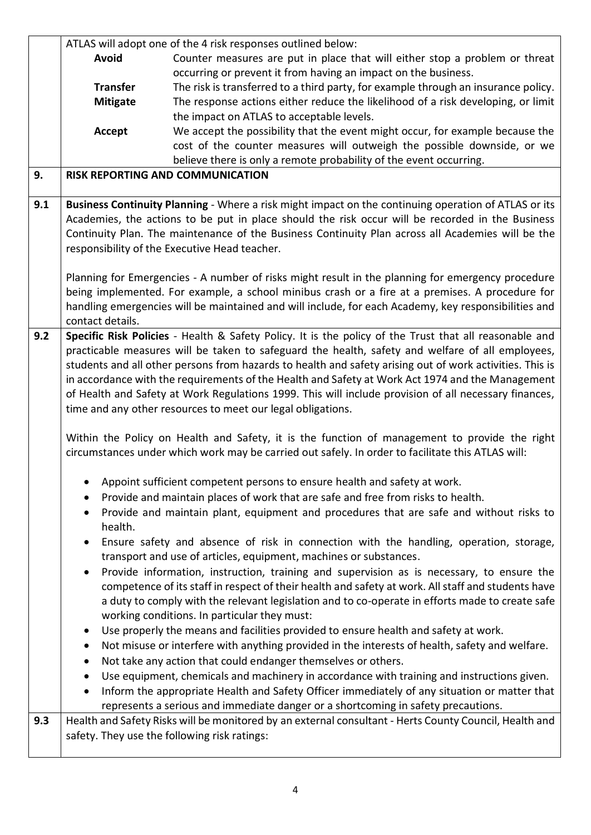|     |                  | ATLAS will adopt one of the 4 risk responses outlined below:                                             |
|-----|------------------|----------------------------------------------------------------------------------------------------------|
|     | <b>Avoid</b>     | Counter measures are put in place that will either stop a problem or threat                              |
|     |                  | occurring or prevent it from having an impact on the business.                                           |
|     | <b>Transfer</b>  | The risk is transferred to a third party, for example through an insurance policy.                       |
|     | <b>Mitigate</b>  | The response actions either reduce the likelihood of a risk developing, or limit                         |
|     |                  | the impact on ATLAS to acceptable levels.                                                                |
|     | Accept           | We accept the possibility that the event might occur, for example because the                            |
|     |                  | cost of the counter measures will outweigh the possible downside, or we                                  |
|     |                  | believe there is only a remote probability of the event occurring.                                       |
| 9.  |                  | RISK REPORTING AND COMMUNICATION                                                                         |
| 9.1 |                  | Business Continuity Planning - Where a risk might impact on the continuing operation of ATLAS or its     |
|     |                  | Academies, the actions to be put in place should the risk occur will be recorded in the Business         |
|     |                  | Continuity Plan. The maintenance of the Business Continuity Plan across all Academies will be the        |
|     |                  | responsibility of the Executive Head teacher.                                                            |
|     |                  |                                                                                                          |
|     |                  | Planning for Emergencies - A number of risks might result in the planning for emergency procedure        |
|     |                  | being implemented. For example, a school minibus crash or a fire at a premises. A procedure for          |
|     |                  | handling emergencies will be maintained and will include, for each Academy, key responsibilities and     |
|     | contact details. |                                                                                                          |
| 9.2 |                  | Specific Risk Policies - Health & Safety Policy. It is the policy of the Trust that all reasonable and   |
|     |                  | practicable measures will be taken to safeguard the health, safety and welfare of all employees,         |
|     |                  | students and all other persons from hazards to health and safety arising out of work activities. This is |
|     |                  | in accordance with the requirements of the Health and Safety at Work Act 1974 and the Management         |
|     |                  | of Health and Safety at Work Regulations 1999. This will include provision of all necessary finances,    |
|     |                  | time and any other resources to meet our legal obligations.                                              |
|     |                  |                                                                                                          |
|     |                  | Within the Policy on Health and Safety, it is the function of management to provide the right            |
|     |                  | circumstances under which work may be carried out safely. In order to facilitate this ATLAS will:        |
|     |                  |                                                                                                          |
|     |                  | Appoint sufficient competent persons to ensure health and safety at work.                                |
|     |                  |                                                                                                          |
|     |                  | Provide and maintain places of work that are safe and free from risks to health.                         |
|     | ٠                | Provide and maintain plant, equipment and procedures that are safe and without risks to                  |
|     | health.          |                                                                                                          |
|     | $\bullet$        | Ensure safety and absence of risk in connection with the handling, operation, storage,                   |
|     |                  | transport and use of articles, equipment, machines or substances.                                        |
|     | $\bullet$        | Provide information, instruction, training and supervision as is necessary, to ensure the                |
|     |                  | competence of its staff in respect of their health and safety at work. All staff and students have       |
|     |                  | a duty to comply with the relevant legislation and to co-operate in efforts made to create safe          |
|     |                  | working conditions. In particular they must:                                                             |
|     | $\bullet$        | Use properly the means and facilities provided to ensure health and safety at work.                      |
|     | $\bullet$        | Not misuse or interfere with anything provided in the interests of health, safety and welfare.           |
|     | $\bullet$        | Not take any action that could endanger themselves or others.                                            |
|     | $\bullet$        | Use equipment, chemicals and machinery in accordance with training and instructions given.               |
|     | $\bullet$        | Inform the appropriate Health and Safety Officer immediately of any situation or matter that             |
|     |                  | represents a serious and immediate danger or a shortcoming in safety precautions.                        |
| 9.3 |                  | Health and Safety Risks will be monitored by an external consultant - Herts County Council, Health and   |
|     |                  | safety. They use the following risk ratings:                                                             |
|     |                  |                                                                                                          |
|     |                  |                                                                                                          |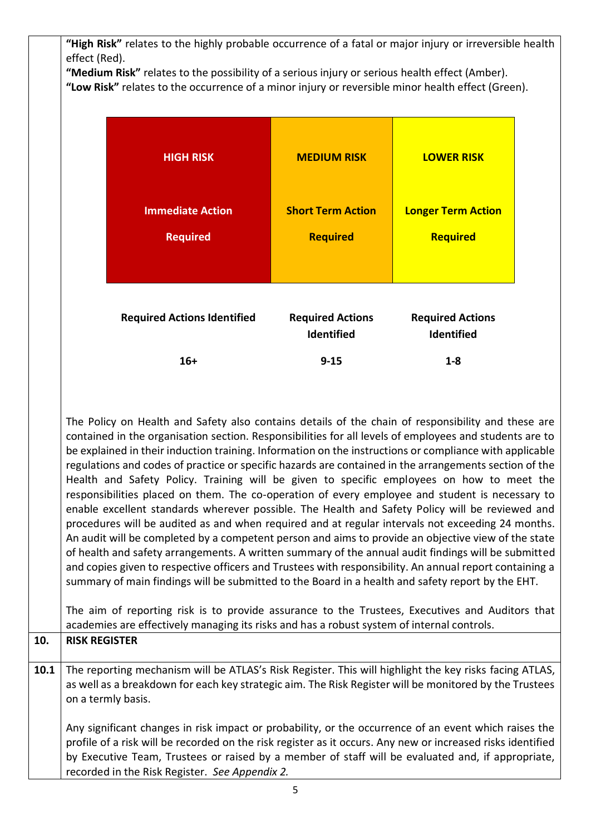|      | "High Risk" relates to the highly probable occurrence of a fatal or major injury or irreversible health                                                                                                                                                                                                                                                                                                                                                                                                                                                                                                                                                                                                                                                                                                                                                                                                                                                                                                                                                                                                                                                                                                                                                                                                                                                                                                                                                                                           |                          |                           |  |
|------|---------------------------------------------------------------------------------------------------------------------------------------------------------------------------------------------------------------------------------------------------------------------------------------------------------------------------------------------------------------------------------------------------------------------------------------------------------------------------------------------------------------------------------------------------------------------------------------------------------------------------------------------------------------------------------------------------------------------------------------------------------------------------------------------------------------------------------------------------------------------------------------------------------------------------------------------------------------------------------------------------------------------------------------------------------------------------------------------------------------------------------------------------------------------------------------------------------------------------------------------------------------------------------------------------------------------------------------------------------------------------------------------------------------------------------------------------------------------------------------------------|--------------------------|---------------------------|--|
|      | effect (Red).<br>"Medium Risk" relates to the possibility of a serious injury or serious health effect (Amber).                                                                                                                                                                                                                                                                                                                                                                                                                                                                                                                                                                                                                                                                                                                                                                                                                                                                                                                                                                                                                                                                                                                                                                                                                                                                                                                                                                                   |                          |                           |  |
|      | "Low Risk" relates to the occurrence of a minor injury or reversible minor health effect (Green).                                                                                                                                                                                                                                                                                                                                                                                                                                                                                                                                                                                                                                                                                                                                                                                                                                                                                                                                                                                                                                                                                                                                                                                                                                                                                                                                                                                                 |                          |                           |  |
|      |                                                                                                                                                                                                                                                                                                                                                                                                                                                                                                                                                                                                                                                                                                                                                                                                                                                                                                                                                                                                                                                                                                                                                                                                                                                                                                                                                                                                                                                                                                   |                          |                           |  |
|      |                                                                                                                                                                                                                                                                                                                                                                                                                                                                                                                                                                                                                                                                                                                                                                                                                                                                                                                                                                                                                                                                                                                                                                                                                                                                                                                                                                                                                                                                                                   |                          |                           |  |
|      |                                                                                                                                                                                                                                                                                                                                                                                                                                                                                                                                                                                                                                                                                                                                                                                                                                                                                                                                                                                                                                                                                                                                                                                                                                                                                                                                                                                                                                                                                                   |                          |                           |  |
|      | <b>HIGH RISK</b>                                                                                                                                                                                                                                                                                                                                                                                                                                                                                                                                                                                                                                                                                                                                                                                                                                                                                                                                                                                                                                                                                                                                                                                                                                                                                                                                                                                                                                                                                  | <b>MEDIUM RISK</b>       | <b>LOWER RISK</b>         |  |
|      |                                                                                                                                                                                                                                                                                                                                                                                                                                                                                                                                                                                                                                                                                                                                                                                                                                                                                                                                                                                                                                                                                                                                                                                                                                                                                                                                                                                                                                                                                                   |                          |                           |  |
|      |                                                                                                                                                                                                                                                                                                                                                                                                                                                                                                                                                                                                                                                                                                                                                                                                                                                                                                                                                                                                                                                                                                                                                                                                                                                                                                                                                                                                                                                                                                   |                          |                           |  |
|      | <b>Immediate Action</b>                                                                                                                                                                                                                                                                                                                                                                                                                                                                                                                                                                                                                                                                                                                                                                                                                                                                                                                                                                                                                                                                                                                                                                                                                                                                                                                                                                                                                                                                           | <b>Short Term Action</b> | <b>Longer Term Action</b> |  |
|      |                                                                                                                                                                                                                                                                                                                                                                                                                                                                                                                                                                                                                                                                                                                                                                                                                                                                                                                                                                                                                                                                                                                                                                                                                                                                                                                                                                                                                                                                                                   |                          |                           |  |
|      | <b>Required</b>                                                                                                                                                                                                                                                                                                                                                                                                                                                                                                                                                                                                                                                                                                                                                                                                                                                                                                                                                                                                                                                                                                                                                                                                                                                                                                                                                                                                                                                                                   | <b>Required</b>          | Required                  |  |
|      |                                                                                                                                                                                                                                                                                                                                                                                                                                                                                                                                                                                                                                                                                                                                                                                                                                                                                                                                                                                                                                                                                                                                                                                                                                                                                                                                                                                                                                                                                                   |                          |                           |  |
|      |                                                                                                                                                                                                                                                                                                                                                                                                                                                                                                                                                                                                                                                                                                                                                                                                                                                                                                                                                                                                                                                                                                                                                                                                                                                                                                                                                                                                                                                                                                   |                          |                           |  |
|      |                                                                                                                                                                                                                                                                                                                                                                                                                                                                                                                                                                                                                                                                                                                                                                                                                                                                                                                                                                                                                                                                                                                                                                                                                                                                                                                                                                                                                                                                                                   |                          |                           |  |
|      | <b>Required Actions Identified</b>                                                                                                                                                                                                                                                                                                                                                                                                                                                                                                                                                                                                                                                                                                                                                                                                                                                                                                                                                                                                                                                                                                                                                                                                                                                                                                                                                                                                                                                                | <b>Required Actions</b>  | <b>Required Actions</b>   |  |
|      |                                                                                                                                                                                                                                                                                                                                                                                                                                                                                                                                                                                                                                                                                                                                                                                                                                                                                                                                                                                                                                                                                                                                                                                                                                                                                                                                                                                                                                                                                                   | Identified               | Identified                |  |
|      |                                                                                                                                                                                                                                                                                                                                                                                                                                                                                                                                                                                                                                                                                                                                                                                                                                                                                                                                                                                                                                                                                                                                                                                                                                                                                                                                                                                                                                                                                                   |                          |                           |  |
|      | $16+$                                                                                                                                                                                                                                                                                                                                                                                                                                                                                                                                                                                                                                                                                                                                                                                                                                                                                                                                                                                                                                                                                                                                                                                                                                                                                                                                                                                                                                                                                             | $9 - 15$                 | $1 - 8$                   |  |
|      |                                                                                                                                                                                                                                                                                                                                                                                                                                                                                                                                                                                                                                                                                                                                                                                                                                                                                                                                                                                                                                                                                                                                                                                                                                                                                                                                                                                                                                                                                                   |                          |                           |  |
|      |                                                                                                                                                                                                                                                                                                                                                                                                                                                                                                                                                                                                                                                                                                                                                                                                                                                                                                                                                                                                                                                                                                                                                                                                                                                                                                                                                                                                                                                                                                   |                          |                           |  |
| 10.  | The Policy on Health and Safety also contains details of the chain of responsibility and these are<br>contained in the organisation section. Responsibilities for all levels of employees and students are to<br>be explained in their induction training. Information on the instructions or compliance with applicable<br>regulations and codes of practice or specific hazards are contained in the arrangements section of the<br>Health and Safety Policy. Training will be given to specific employees on how to meet the<br>responsibilities placed on them. The co-operation of every employee and student is necessary to<br>enable excellent standards wherever possible. The Health and Safety Policy will be reviewed and<br>procedures will be audited as and when required and at regular intervals not exceeding 24 months.<br>An audit will be completed by a competent person and aims to provide an objective view of the state<br>of health and safety arrangements. A written summary of the annual audit findings will be submitted<br>and copies given to respective officers and Trustees with responsibility. An annual report containing a<br>summary of main findings will be submitted to the Board in a health and safety report by the EHT.<br>The aim of reporting risk is to provide assurance to the Trustees, Executives and Auditors that<br>academies are effectively managing its risks and has a robust system of internal controls.<br><b>RISK REGISTER</b> |                          |                           |  |
|      |                                                                                                                                                                                                                                                                                                                                                                                                                                                                                                                                                                                                                                                                                                                                                                                                                                                                                                                                                                                                                                                                                                                                                                                                                                                                                                                                                                                                                                                                                                   |                          |                           |  |
| 10.1 | The reporting mechanism will be ATLAS's Risk Register. This will highlight the key risks facing ATLAS,<br>as well as a breakdown for each key strategic aim. The Risk Register will be monitored by the Trustees<br>on a termly basis.                                                                                                                                                                                                                                                                                                                                                                                                                                                                                                                                                                                                                                                                                                                                                                                                                                                                                                                                                                                                                                                                                                                                                                                                                                                            |                          |                           |  |
|      | Any significant changes in risk impact or probability, or the occurrence of an event which raises the<br>profile of a risk will be recorded on the risk register as it occurs. Any new or increased risks identified<br>by Executive Team, Trustees or raised by a member of staff will be evaluated and, if appropriate,<br>recorded in the Risk Register. See Appendix 2.                                                                                                                                                                                                                                                                                                                                                                                                                                                                                                                                                                                                                                                                                                                                                                                                                                                                                                                                                                                                                                                                                                                       |                          |                           |  |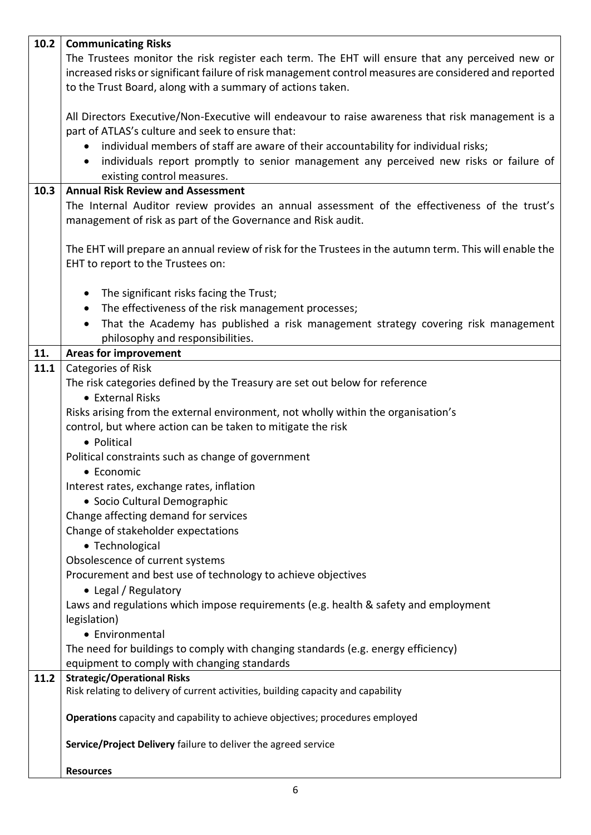| 10.2 | <b>Communicating Risks</b>                                                                              |  |  |  |
|------|---------------------------------------------------------------------------------------------------------|--|--|--|
|      | The Trustees monitor the risk register each term. The EHT will ensure that any perceived new or         |  |  |  |
|      | increased risks or significant failure of risk management control measures are considered and reported  |  |  |  |
|      | to the Trust Board, along with a summary of actions taken.                                              |  |  |  |
|      |                                                                                                         |  |  |  |
|      | All Directors Executive/Non-Executive will endeavour to raise awareness that risk management is a       |  |  |  |
|      | part of ATLAS's culture and seek to ensure that:                                                        |  |  |  |
|      | individual members of staff are aware of their accountability for individual risks;<br>$\bullet$        |  |  |  |
|      | individuals report promptly to senior management any perceived new risks or failure of                  |  |  |  |
|      | existing control measures.                                                                              |  |  |  |
| 10.3 | <b>Annual Risk Review and Assessment</b>                                                                |  |  |  |
|      | The Internal Auditor review provides an annual assessment of the effectiveness of the trust's           |  |  |  |
|      | management of risk as part of the Governance and Risk audit.                                            |  |  |  |
|      |                                                                                                         |  |  |  |
|      | The EHT will prepare an annual review of risk for the Trustees in the autumn term. This will enable the |  |  |  |
|      | EHT to report to the Trustees on:                                                                       |  |  |  |
|      |                                                                                                         |  |  |  |
|      | The significant risks facing the Trust;                                                                 |  |  |  |
|      | The effectiveness of the risk management processes;<br>$\bullet$                                        |  |  |  |
|      | That the Academy has published a risk management strategy covering risk management<br>$\bullet$         |  |  |  |
|      | philosophy and responsibilities.                                                                        |  |  |  |
| 11.  | <b>Areas for improvement</b>                                                                            |  |  |  |
| 11.1 | Categories of Risk                                                                                      |  |  |  |
|      | The risk categories defined by the Treasury are set out below for reference                             |  |  |  |
|      | • External Risks                                                                                        |  |  |  |
|      | Risks arising from the external environment, not wholly within the organisation's                       |  |  |  |
|      | control, but where action can be taken to mitigate the risk                                             |  |  |  |
|      | • Political                                                                                             |  |  |  |
|      |                                                                                                         |  |  |  |
|      | Political constraints such as change of government                                                      |  |  |  |
|      | • Economic                                                                                              |  |  |  |
|      | Interest rates, exchange rates, inflation                                                               |  |  |  |
|      | · Socio Cultural Demographic                                                                            |  |  |  |
|      | Change affecting demand for services                                                                    |  |  |  |
|      | Change of stakeholder expectations                                                                      |  |  |  |
|      | • Technological                                                                                         |  |  |  |
|      | Obsolescence of current systems                                                                         |  |  |  |
|      | Procurement and best use of technology to achieve objectives                                            |  |  |  |
|      | • Legal / Regulatory                                                                                    |  |  |  |
|      | Laws and regulations which impose requirements (e.g. health & safety and employment                     |  |  |  |
|      | legislation)                                                                                            |  |  |  |
|      | • Environmental                                                                                         |  |  |  |
|      | The need for buildings to comply with changing standards (e.g. energy efficiency)                       |  |  |  |
|      | equipment to comply with changing standards                                                             |  |  |  |
| 11.2 | <b>Strategic/Operational Risks</b>                                                                      |  |  |  |
|      | Risk relating to delivery of current activities, building capacity and capability                       |  |  |  |
|      | Operations capacity and capability to achieve objectives; procedures employed                           |  |  |  |
|      | Service/Project Delivery failure to deliver the agreed service                                          |  |  |  |
|      | <b>Resources</b>                                                                                        |  |  |  |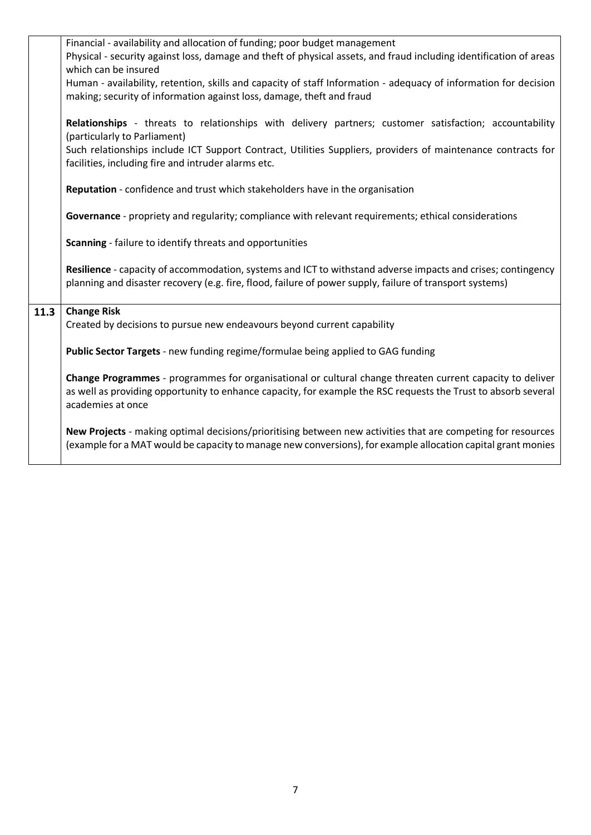|      | Financial - availability and allocation of funding; poor budget management<br>Physical - security against loss, damage and theft of physical assets, and fraud including identification of areas                                                 |
|------|--------------------------------------------------------------------------------------------------------------------------------------------------------------------------------------------------------------------------------------------------|
|      | which can be insured                                                                                                                                                                                                                             |
|      | Human - availability, retention, skills and capacity of staff Information - adequacy of information for decision<br>making; security of information against loss, damage, theft and fraud                                                        |
|      |                                                                                                                                                                                                                                                  |
|      | Relationships - threats to relationships with delivery partners; customer satisfaction; accountability<br>(particularly to Parliament)                                                                                                           |
|      | Such relationships include ICT Support Contract, Utilities Suppliers, providers of maintenance contracts for<br>facilities, including fire and intruder alarms etc.                                                                              |
|      |                                                                                                                                                                                                                                                  |
|      | Reputation - confidence and trust which stakeholders have in the organisation                                                                                                                                                                    |
|      | Governance - propriety and regularity; compliance with relevant requirements; ethical considerations                                                                                                                                             |
|      | Scanning - failure to identify threats and opportunities                                                                                                                                                                                         |
|      | Resilience - capacity of accommodation, systems and ICT to withstand adverse impacts and crises; contingency                                                                                                                                     |
|      | planning and disaster recovery (e.g. fire, flood, failure of power supply, failure of transport systems)                                                                                                                                         |
| 11.3 | <b>Change Risk</b>                                                                                                                                                                                                                               |
|      | Created by decisions to pursue new endeavours beyond current capability                                                                                                                                                                          |
|      | Public Sector Targets - new funding regime/formulae being applied to GAG funding                                                                                                                                                                 |
|      | Change Programmes - programmes for organisational or cultural change threaten current capacity to deliver<br>as well as providing opportunity to enhance capacity, for example the RSC requests the Trust to absorb several<br>academies at once |
|      | New Projects - making optimal decisions/prioritising between new activities that are competing for resources<br>(example for a MAT would be capacity to manage new conversions), for example allocation capital grant monies                     |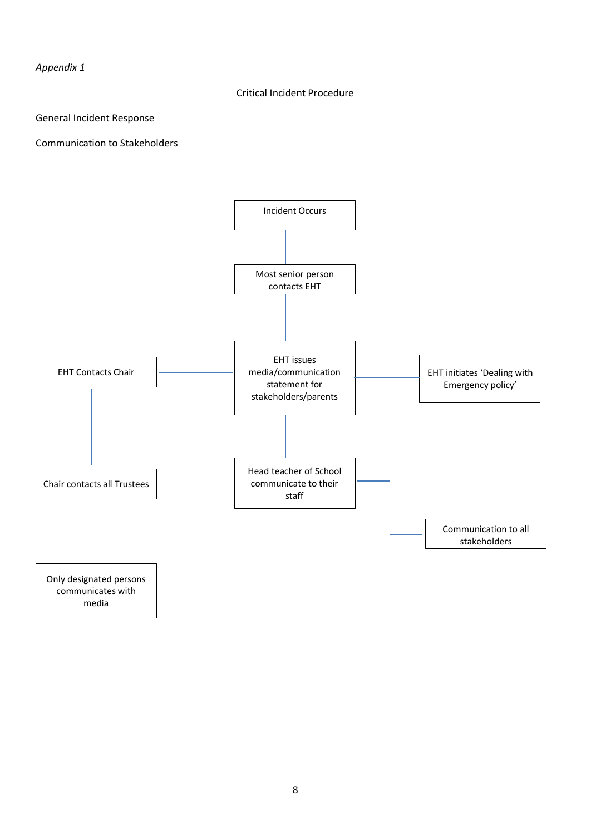*Appendix 1*

## Critical Incident Procedure

General Incident Response

Communication to Stakeholders



media